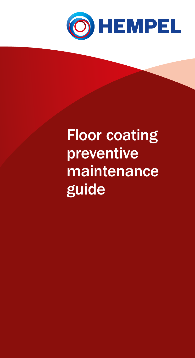

### Floor coating preventive maintenance guide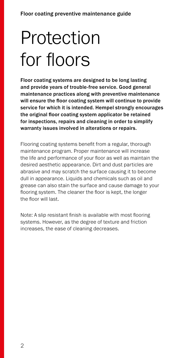## Protection for floors

Floor coating systems are designed to be long lasting and provide years of trouble-free service. Good general maintenance practices along with preventive maintenance will ensure the floor coating system will continue to provide service for which it is intended. Hempel strongly encourages the original floor coating system applicator be retained for inspections, repairs and cleaning in order to simplify warranty issues involved in alterations or repairs.

Flooring coating systems benefit from a regular, thorough maintenance program. Proper maintenance will increase the life and performance of your floor as well as maintain the desired aesthetic appearance. Dirt and dust particles are abrasive and may scratch the surface causing it to become dull in appearance. Liquids and chemicals such as oil and grease can also stain the surface and cause damage to your flooring system. The cleaner the floor is kept, the longer the floor will last.

Note: A slip resistant finish is available with most flooring systems. However, as the degree of texture and friction increases, the ease of cleaning decreases.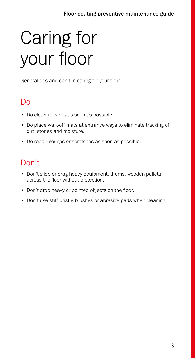# Caring for your floor

General dos and don't in caring for your floor.

### Do

- Do clean up spills as soon as possible.
- Do place walk-off mats at entrance ways to eliminate tracking of dirt, stones and moisture.
- Do repair gouges or scratches as soon as possible.

### Don't

- Don't slide or drag heavy equipment, drums, wooden pallets across the floor without protection.
- Don't drop heavy or pointed objects on the floor.
- Don't use stiff bristle brushes or abrasive pads when cleaning.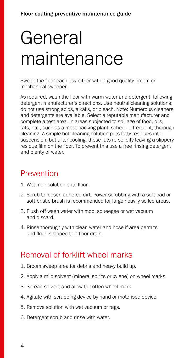### General maintenance

Sweep the floor each day either with a good quality broom or mechanical sweeper.

As required, wash the floor with warm water and detergent, following detergent manufacturer's directions. Use neutral cleaning solutions; do not use strong acids, alkalis, or bleach. Note: Numerous cleaners and detergents are available. Select a reputable manufacturer and complete a test area. In areas subjected to spillage of food, oils, fats, etc., such as a meat packing plant, schedule frequent, thorough cleaning. A simple hot cleaning solution puts fatty residues into suspension, but after cooling, these fats re-solidify leaving a slippery residue film on the floor. To prevent this use a free rinsing detergent and plenty of water.

#### Prevention

- 1. Wet mop solution onto floor.
- 2. Scrub to loosen adhered dirt. Power scrubbing with a soft pad or soft bristle brush is recommended for large heavily soiled areas.
- 3. Flush off wash water with mop, squeegee or wet vacuum and discard.
- 4. Rinse thoroughly with clean water and hose if area permits and floor is sloped to a floor drain.

#### Removal of forklift wheel marks

- 1. Broom sweep area for debris and heavy build up.
- 2. Apply a mild solvent (mineral spirits or xylene) on wheel marks.
- 3. Spread solvent and allow to soften wheel mark.
- 4. Agitate with scrubbing device by hand or motorised device.
- 5. Remove solution with wet vacuum or rags.
- 6. Detergent scrub and rinse with water.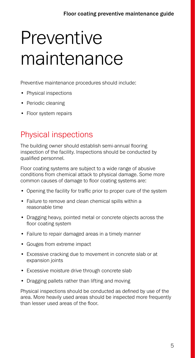### **Preventive** maintenance

Preventive maintenance procedures should include:

- Physical inspections
- Periodic cleaning
- Floor system repairs

### Physical inspections

The building owner should establish semi-annual flooring inspection of the facility. Inspections should be conducted by qualified personnel.

Floor coating systems are subject to a wide range of abusive conditions from chemical attack to physical damage. Some more common causes of damage to floor coating systems are:

- Opening the facility for traffic prior to proper cure of the system
- Failure to remove and clean chemical spills within a reasonable time
- Dragging heavy, pointed metal or concrete objects across the floor coating system
- Failure to repair damaged areas in a timely manner
- Gouges from extreme impact
- Excessive cracking due to movement in concrete slab or at expansion joints
- Excessive moisture drive through concrete slab
- Dragging pallets rather than lifting and moving

Physical inspections should be conducted as defined by use of the area. More heavily used areas should be inspected more frequently than lesser used areas of the floor.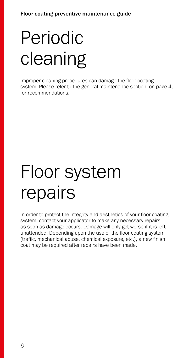## Periodic cleaning

Improper cleaning procedures can damage the floor coating system. Please refer to the general maintenance section, on page 4, for recommendations.

### Floor system repairs

In order to protect the integrity and aesthetics of your floor coating system, contact your applicator to make any necessary repairs as soon as damage occurs. Damage will only get worse if it is left unattended. Depending upon the use of the floor coating system (traffic, mechanical abuse, chemical exposure, etc.), a new finish coat may be required after repairs have been made.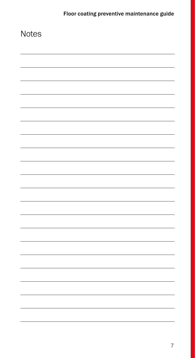| Notes |  |
|-------|--|
|       |  |
|       |  |
|       |  |
|       |  |
|       |  |
|       |  |
|       |  |
|       |  |
|       |  |
|       |  |
|       |  |
|       |  |
|       |  |
|       |  |
|       |  |
|       |  |
|       |  |
|       |  |
|       |  |